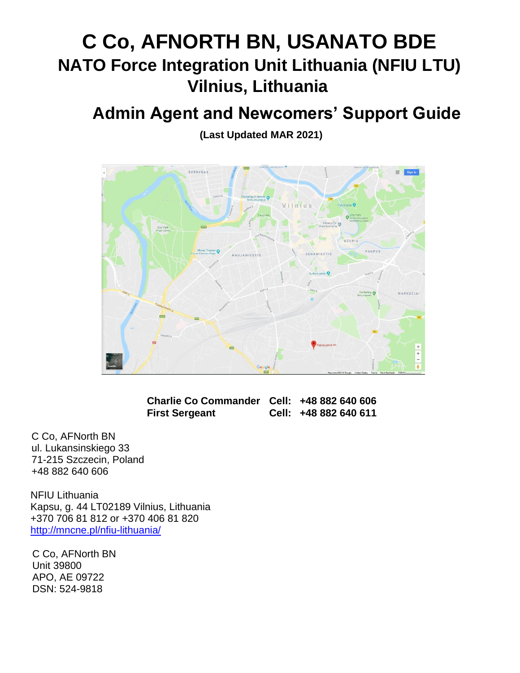# **C Co, AFNORTH BN, USANATO BDE NATO Force Integration Unit Lithuania (NFIU LTU) Vilnius, Lithuania**

## **Admin Agent and Newcomers' Support Guide**

**(Last Updated MAR 2021)**



| Charlie Co Commander Cell: +48 882 640 606 |                       |
|--------------------------------------------|-----------------------|
| <b>First Sergeant</b>                      | Cell: +48 882 640 611 |

C Co, AFNorth BN ul. Lukansinskiego 33 71-215 Szczecin, Poland +48 882 640 606

NFIU Lithuania Kapsu, g. 44 LT02189 Vilnius, Lithuania +370 706 81 812 or +370 406 81 820 <http://mncne.pl/nfiu-lithuania/>

C Co, AFNorth BN Unit 39800 APO, AE 09722 DSN: 524-9818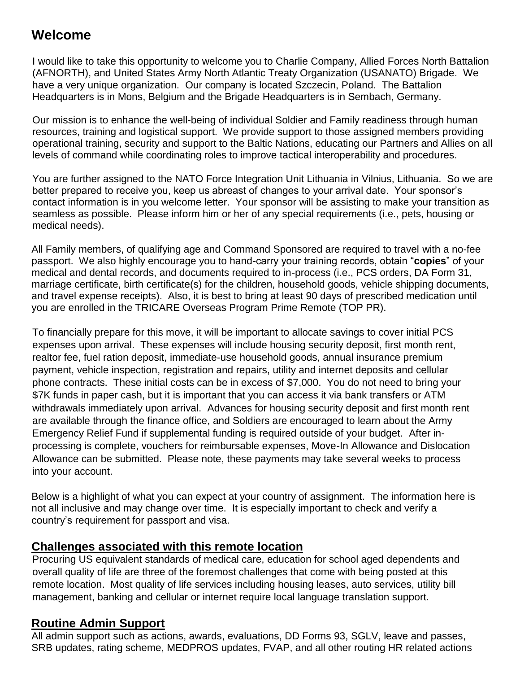## **Welcome**

I would like to take this opportunity to welcome you to Charlie Company, Allied Forces North Battalion (AFNORTH), and United States Army North Atlantic Treaty Organization (USANATO) Brigade. We have a very unique organization. Our company is located Szczecin, Poland. The Battalion Headquarters is in Mons, Belgium and the Brigade Headquarters is in Sembach, Germany.

Our mission is to enhance the well-being of individual Soldier and Family readiness through human resources, training and logistical support. We provide support to those assigned members providing operational training, security and support to the Baltic Nations, educating our Partners and Allies on all levels of command while coordinating roles to improve tactical interoperability and procedures.

You are further assigned to the NATO Force Integration Unit Lithuania in Vilnius, Lithuania. So we are better prepared to receive you, keep us abreast of changes to your arrival date. Your sponsor's contact information is in you welcome letter. Your sponsor will be assisting to make your transition as seamless as possible. Please inform him or her of any special requirements (i.e., pets, housing or medical needs).

All Family members, of qualifying age and Command Sponsored are required to travel with a no-fee passport. We also highly encourage you to hand-carry your training records, obtain "**copies**" of your medical and dental records, and documents required to in-process (i.e., PCS orders, DA Form 31, marriage certificate, birth certificate(s) for the children, household goods, vehicle shipping documents, and travel expense receipts). Also, it is best to bring at least 90 days of prescribed medication until you are enrolled in the TRICARE Overseas Program Prime Remote (TOP PR).

To financially prepare for this move, it will be important to allocate savings to cover initial PCS expenses upon arrival. These expenses will include housing security deposit, first month rent, realtor fee, fuel ration deposit, immediate-use household goods, annual insurance premium payment, vehicle inspection, registration and repairs, utility and internet deposits and cellular phone contracts. These initial costs can be in excess of \$7,000. You do not need to bring your \$7K funds in paper cash, but it is important that you can access it via bank transfers or ATM withdrawals immediately upon arrival. Advances for housing security deposit and first month rent are available through the finance office, and Soldiers are encouraged to learn about the Army Emergency Relief Fund if supplemental funding is required outside of your budget. After inprocessing is complete, vouchers for reimbursable expenses, Move-In Allowance and Dislocation Allowance can be submitted. Please note, these payments may take several weeks to process into your account.

Below is a highlight of what you can expect at your country of assignment. The information here is not all inclusive and may change over time. It is especially important to check and verify a country's requirement for passport and visa.

## **Challenges associated with this remote location**

Procuring US equivalent standards of medical care, education for school aged dependents and overall quality of life are three of the foremost challenges that come with being posted at this remote location. Most quality of life services including housing leases, auto services, utility bill management, banking and cellular or internet require local language translation support.

## **Routine Admin Support**

All admin support such as actions, awards, evaluations, DD Forms 93, SGLV, leave and passes, SRB updates, rating scheme, MEDPROS updates, FVAP, and all other routing HR related actions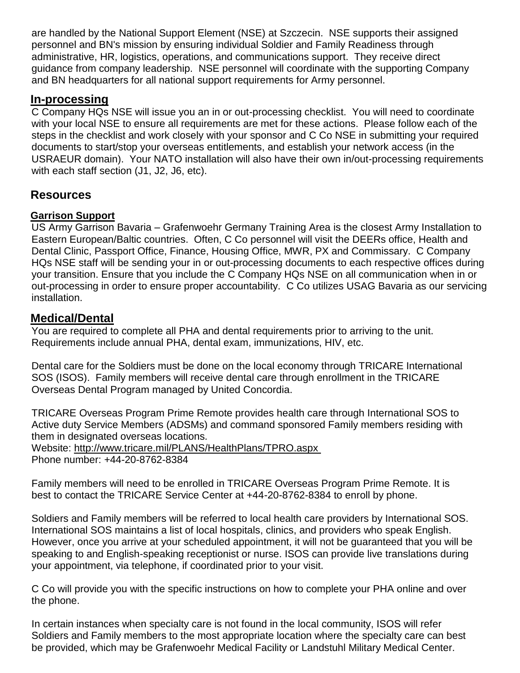are handled by the National Support Element (NSE) at Szczecin. NSE supports their assigned personnel and BN's mission by ensuring individual Soldier and Family Readiness through administrative, HR, logistics, operations, and communications support. They receive direct guidance from company leadership. NSE personnel will coordinate with the supporting Company and BN headquarters for all national support requirements for Army personnel.

## **In-processing**

C Company HQs NSE will issue you an in or out-processing checklist. You will need to coordinate with your local NSE to ensure all requirements are met for these actions. Please follow each of the steps in the checklist and work closely with your sponsor and C Co NSE in submitting your required documents to start/stop your overseas entitlements, and establish your network access (in the USRAEUR domain). Your NATO installation will also have their own in/out-processing requirements with each staff section (J1, J2, J6, etc).

## **Resources**

## **Garrison Support**

US Army Garrison Bavaria – Grafenwoehr Germany Training Area is the closest Army Installation to Eastern European/Baltic countries. Often, C Co personnel will visit the DEERs office, Health and Dental Clinic, Passport Office, Finance, Housing Office, MWR, PX and Commissary. C Company HQs NSE staff will be sending your in or out-processing documents to each respective offices during your transition. Ensure that you include the C Company HQs NSE on all communication when in or out-processing in order to ensure proper accountability. C Co utilizes USAG Bavaria as our servicing installation.

## **Medical/Dental**

You are required to complete all PHA and dental requirements prior to arriving to the unit. Requirements include annual PHA, dental exam, immunizations, HIV, etc.

Dental care for the Soldiers must be done on the local economy through TRICARE International SOS (ISOS). Family members will receive dental care through enrollment in the TRICARE Overseas Dental Program managed by United Concordia.

TRICARE Overseas Program Prime Remote provides health care through International SOS to Active duty Service Members (ADSMs) and command sponsored Family members residing with them in designated overseas locations.

Website:<http://www.tricare.mil/PLANS/HealthPlans/TPRO.aspx> Phone number: +44-20-8762-8384

Family members will need to be enrolled in TRICARE Overseas Program Prime Remote. It is best to contact the TRICARE Service Center at +44-20-8762-8384 to enroll by phone.

Soldiers and Family members will be referred to local health care providers by International SOS. International SOS maintains a list of local hospitals, clinics, and providers who speak English. However, once you arrive at your scheduled appointment, it will not be guaranteed that you will be speaking to and English-speaking receptionist or nurse. ISOS can provide live translations during your appointment, via telephone, if coordinated prior to your visit.

C Co will provide you with the specific instructions on how to complete your PHA online and over the phone.

In certain instances when specialty care is not found in the local community, ISOS will refer Soldiers and Family members to the most appropriate location where the specialty care can best be provided, which may be Grafenwoehr Medical Facility or Landstuhl Military Medical Center.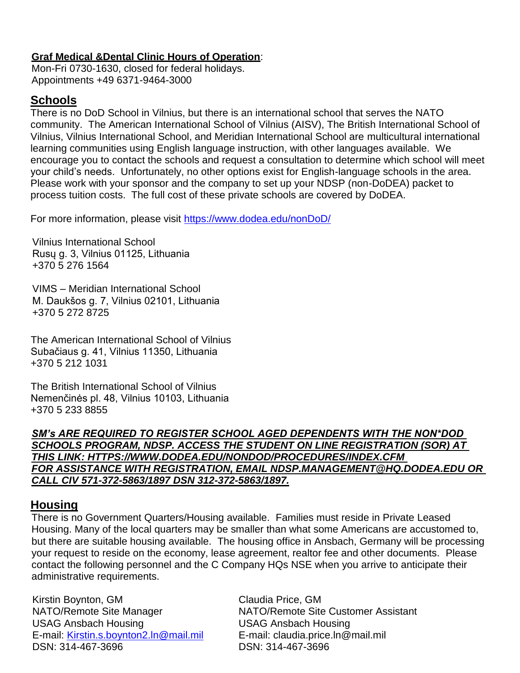#### **Graf Medical &Dental Clinic Hours of Operation**:

Mon-Fri 0730-1630, closed for federal holidays. Appointments +49 6371-9464-3000

## **Schools**

There is no DoD School in Vilnius, but there is an international school that serves the NATO community. The American International School of Vilnius (AISV), The British International School of Vilnius, Vilnius International School, and Meridian International School are multicultural international learning communities using English language instruction, with other languages available. We encourage you to contact the schools and request a consultation to determine which school will meet your child's needs. Unfortunately, no other options exist for English-language schools in the area. Please work with your sponsor and the company to set up your NDSP (non-DoDEA) packet to process tuition costs. The full cost of these private schools are covered by DoDEA.

For more information, please visit<https://www.dodea.edu/nonDoD/>

Vilnius International School Rusų g. 3, Vilnius 01125, Lithuania [+370 5 276 1564](https://www.google.com/search?q=international+school+vilnius&npsic=0&rflfq=1&rlha=0&rllag=54678033,25295770,515&tbm=lcl&ved=2ahUKEwjSxrLD6rjdAhXwct8KHUU-DokQtgN6BAgAEAQ&tbs=lrf:!2m1!1e2!3sIAE,lf:1,lf_ui:2&rldoc=1)

VIMS – Meridian International School M. Daukšos g. 7, Vilnius 02101, Lithuania [+370 5 272 8725](https://www.google.com/search?q=international+school+vilnius&npsic=0&rflfq=1&rlha=0&rllag=54678033,25295770,515&tbm=lcl&ved=2ahUKEwjSxrLD6rjdAhXwct8KHUU-DokQtgN6BAgAEAQ&tbs=lrf:!2m1!1e2!3sIAE,lf:1,lf_ui:2&rldoc=1)

The American International School of Vilnius Subačiaus g. 41, Vilnius 11350, Lithuania +370 5 [212 1031](https://www.google.com/search?q=international+school+vilnius&npsic=0&rflfq=1&rlha=0&rllag=54678033,25295770,515&tbm=lcl&ved=2ahUKEwjSxrLD6rjdAhXwct8KHUU-DokQtgN6BAgAEAQ&tbs=lrf:!2m1!1e2!3sIAE,lf:1,lf_ui:2&rldoc=1)

The British International School of Vilnius Nemenčinės pl. 48, Vilnius 10103, Lithuania +370 5 233 8855

*SM's ARE REQUIRED TO REGISTER SCHOOL AGED DEPENDENTS WITH THE NON\*DOD SCHOOLS PROGRAM, NDSP. ACCESS THE STUDENT ON LINE REGISTRATION (SOR) AT THIS LINK: HTTPS://WWW.DODEA.EDU/NONDOD/PROCEDURES/INDEX.CFM FOR ASSISTANCE WITH REGISTRATION, EMAIL NDSP.MANAGEMENT@HQ.DODEA.EDU OR CALL CIV 571-372-5863/1897 DSN 312-372-5863/1897.*

## **Housing**

There is no Government Quarters/Housing available. Families must reside in Private Leased Housing. Many of the local quarters may be smaller than what some Americans are accustomed to, but there are suitable housing available. The housing office in Ansbach, Germany will be processing your request to reside on the economy, lease agreement, realtor fee and other documents. Please contact the following personnel and the C Company HQs NSE when you arrive to anticipate their administrative requirements.

Kirstin Boynton, GM Claudia Price, GM USAG Ansbach Housing USAG Ansbach Housing E-mail: [Kirstin.s.boynton2.ln@mail.mil](mailto:Kirstin.s.boynton2.ln@mail.mil) E-mail: claudia.price.ln@mail.mil DSN: 314-467-3696 DSN: 314-467-3696

NATO/Remote Site Manager NATO/Remote Site Customer Assistant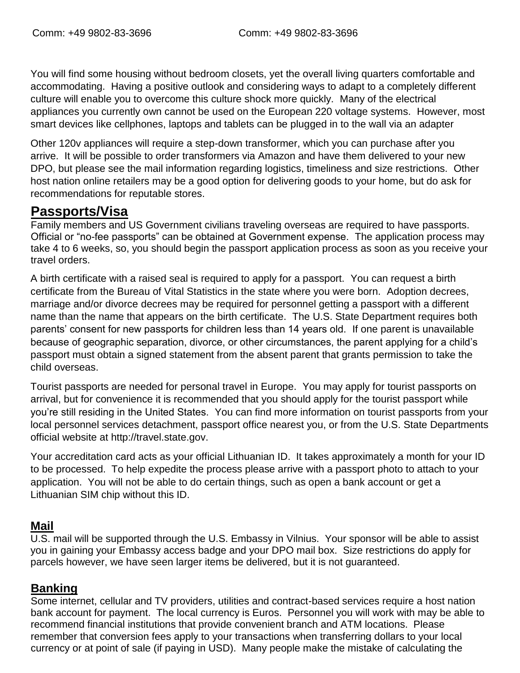You will find some housing without bedroom closets, yet the overall living quarters comfortable and accommodating. Having a positive outlook and considering ways to adapt to a completely different culture will enable you to overcome this culture shock more quickly. Many of the electrical appliances you currently own cannot be used on the European 220 voltage systems. However, most smart devices like cellphones, laptops and tablets can be plugged in to the wall via an adapter

Other 120v appliances will require a step-down transformer, which you can purchase after you arrive. It will be possible to order transformers via Amazon and have them delivered to your new DPO, but please see the mail information regarding logistics, timeliness and size restrictions. Other host nation online retailers may be a good option for delivering goods to your home, but do ask for recommendations for reputable stores.

## **Passports/Visa**

Family members and US Government civilians traveling overseas are required to have passports. Official or "no-fee passports" can be obtained at Government expense. The application process may take 4 to 6 weeks, so, you should begin the passport application process as soon as you receive your travel orders.

A birth certificate with a raised seal is required to apply for a passport. You can request a birth certificate from the Bureau of Vital Statistics in the state where you were born. Adoption decrees, marriage and/or divorce decrees may be required for personnel getting a passport with a different name than the name that appears on the birth certificate. The U.S. State Department requires both parents' consent for new passports for children less than 14 years old. If one parent is unavailable because of geographic separation, divorce, or other circumstances, the parent applying for a child's passport must obtain a signed statement from the absent parent that grants permission to take the child overseas.

Tourist passports are needed for personal travel in Europe. You may apply for tourist passports on arrival, but for convenience it is recommended that you should apply for the tourist passport while you're still residing in the United States. You can find more information on tourist passports from your local personnel services detachment, passport office nearest you, or from the U.S. State Departments official website at [http://travel.state.gov.](http://travel.state.gov/)

Your accreditation card acts as your official Lithuanian ID. It takes approximately a month for your ID to be processed. To help expedite the process please arrive with a passport photo to attach to your application. You will not be able to do certain things, such as open a bank account or get a Lithuanian SIM chip without this ID.

## **Mail**

U.S. mail will be supported through the U.S. Embassy in Vilnius. Your sponsor will be able to assist you in gaining your Embassy access badge and your DPO mail box. Size restrictions do apply for parcels however, we have seen larger items be delivered, but it is not guaranteed.

## **Banking**

Some internet, cellular and TV providers, utilities and contract-based services require a host nation bank account for payment. The local currency is Euros. Personnel you will work with may be able to recommend financial institutions that provide convenient branch and ATM locations. Please remember that conversion fees apply to your transactions when transferring dollars to your local currency or at point of sale (if paying in USD). Many people make the mistake of calculating the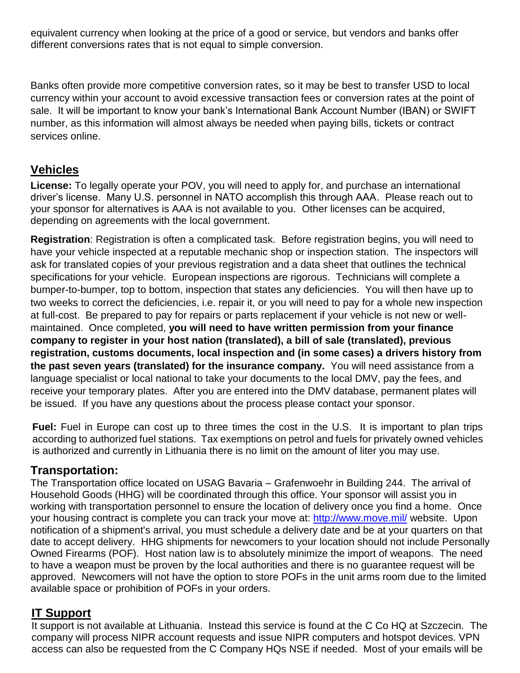equivalent currency when looking at the price of a good or service, but vendors and banks offer different conversions rates that is not equal to simple conversion.

Banks often provide more competitive conversion rates, so it may be best to transfer USD to local currency within your account to avoid excessive transaction fees or conversion rates at the point of sale. It will be important to know your bank's International Bank Account Number (IBAN) or SWIFT number, as this information will almost always be needed when paying bills, tickets or contract services online.

## **Vehicles**

**License:** To legally operate your POV, you will need to apply for, and purchase an international driver's license. Many U.S. personnel in NATO accomplish this through AAA. Please reach out to your sponsor for alternatives is AAA is not available to you. Other licenses can be acquired, depending on agreements with the local government.

**Registration**: Registration is often a complicated task. Before registration begins, you will need to have your vehicle inspected at a reputable mechanic shop or inspection station. The inspectors will ask for translated copies of your previous registration and a data sheet that outlines the technical specifications for your vehicle. European inspections are rigorous. Technicians will complete a bumper-to-bumper, top to bottom, inspection that states any deficiencies. You will then have up to two weeks to correct the deficiencies, i.e. repair it, or you will need to pay for a whole new inspection at full-cost. Be prepared to pay for repairs or parts replacement if your vehicle is not new or wellmaintained. Once completed, **you will need to have written permission from your finance company to register in your host nation (translated), a bill of sale (translated), previous registration, customs documents, local inspection and (in some cases) a drivers history from the past seven years (translated) for the insurance company.** You will need assistance from a language specialist or local national to take your documents to the local DMV, pay the fees, and receive your temporary plates. After you are entered into the DMV database, permanent plates will be issued. If you have any questions about the process please contact your sponsor.

**Fuel:** Fuel in Europe can cost up to three times the cost in the U.S. It is important to plan trips according to authorized fuel stations. Tax exemptions on petrol and fuels for privately owned vehicles is authorized and currently in Lithuania there is no limit on the amount of liter you may use.

## **Transportation:**

The Transportation office located on USAG Bavaria – Grafenwoehr in Building 244. The arrival of Household Goods (HHG) will be coordinated through this office. Your sponsor will assist you in working with transportation personnel to ensure the location of delivery once you find a home. Once your housing contract is complete you can track your move at:<http://www.move.mil/> website. Upon notification of a shipment's arrival, you must schedule a delivery date and be at your quarters on that date to accept delivery. HHG shipments for newcomers to your location should not include Personally Owned Firearms (POF). Host nation law is to absolutely minimize the import of weapons. The need to have a weapon must be proven by the local authorities and there is no guarantee request will be approved. Newcomers will not have the option to store POFs in the unit arms room due to the limited available space or prohibition of POFs in your orders.

## **IT Support**

It support is not available at Lithuania. Instead this service is found at the C Co HQ at Szczecin. The company will process NIPR account requests and issue NIPR computers and hotspot devices. VPN access can also be requested from the C Company HQs NSE if needed. Most of your emails will be